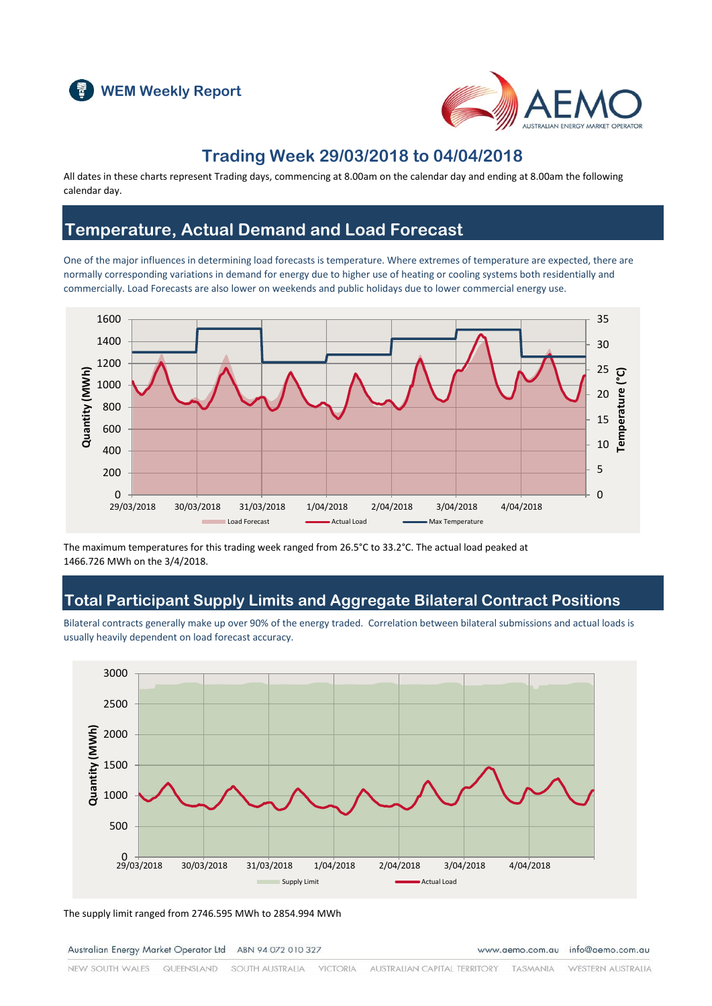



#### **Trading Week 29/03/2018 to 04/04/2018**

All dates in these charts represent Trading days, commencing at 8.00am on the calendar day and ending at 8.00am the following calendar day.

### **Temperature, Actual Demand and Load Forecast**

One of the major influences in determining load forecasts is temperature. Where extremes of temperature are expected, there are normally corresponding variations in demand for energy due to higher use of heating or cooling systems both residentially and commercially. Load Forecasts are also lower on weekends and public holidays due to lower commercial energy use.



The maximum temperatures for this trading week ranged from 26.5°C to 33.2°C. The actual load peaked at 1466.726 MWh on the 3/4/2018.

### **Total Participant Supply Limits and Aggregate Bilateral Contract Positions**

Bilateral contracts generally make up over 90% of the energy traded. Correlation between bilateral submissions and actual loads is usually heavily dependent on load forecast accuracy.



The supply limit ranged from 2746.595 MWh to 2854.994 MWh

Australian Energy Market Operator Ltd ABN 94 072 010 327

www.aemo.com.au info@aemo.com.au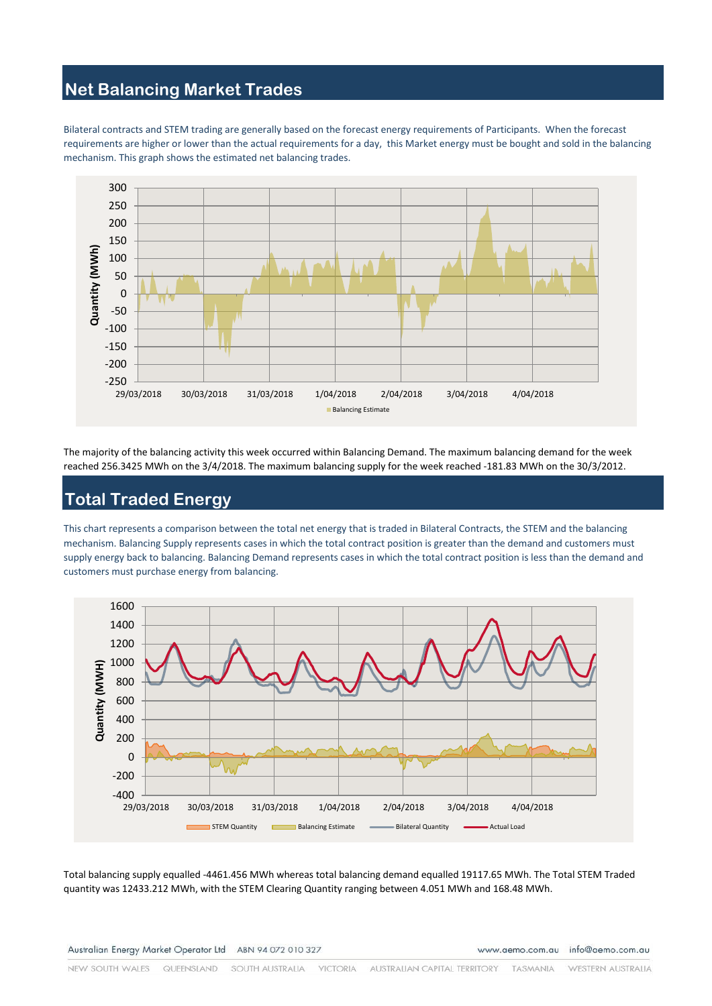### **Net Balancing Market Trades**

Bilateral contracts and STEM trading are generally based on the forecast energy requirements of Participants. When the forecast requirements are higher or lower than the actual requirements for a day, this Market energy must be bought and sold in the balancing mechanism. This graph shows the estimated net balancing trades.



The majority of the balancing activity this week occurred within Balancing Demand. The maximum balancing demand for the week reached 256.3425 MWh on the 3/4/2018. The maximum balancing supply for the week reached -181.83 MWh on the 30/3/2012.

# **Total Traded Energy**

This chart represents a comparison between the total net energy that is traded in Bilateral Contracts, the STEM and the balancing mechanism. Balancing Supply represents cases in which the total contract position is greater than the demand and customers must supply energy back to balancing. Balancing Demand represents cases in which the total contract position is less than the demand and customers must purchase energy from balancing.



Total balancing supply equalled -4461.456 MWh whereas total balancing demand equalled 19117.65 MWh. The Total STEM Traded quantity was 12433.212 MWh, with the STEM Clearing Quantity ranging between 4.051 MWh and 168.48 MWh.

www.aemo.com.au info@aemo.com.au